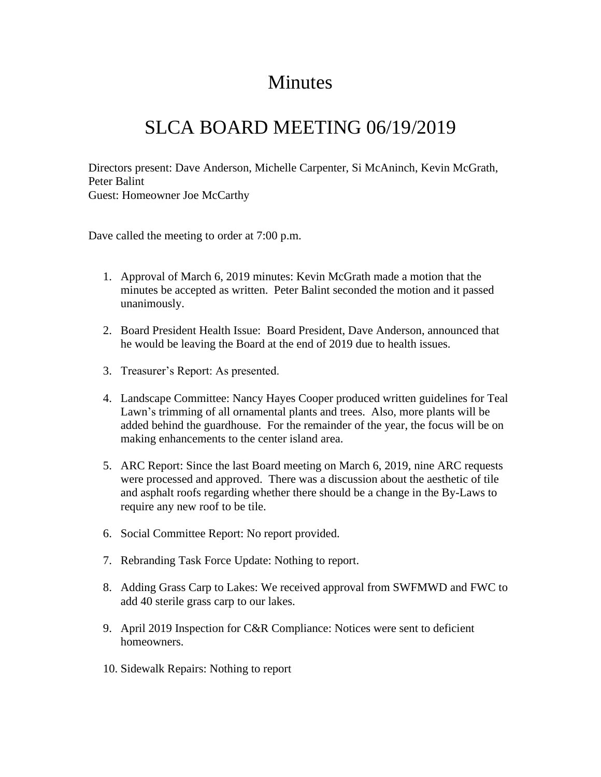## Minutes

## SLCA BOARD MEETING 06/19/2019

Directors present: Dave Anderson, Michelle Carpenter, Si McAninch, Kevin McGrath, Peter Balint Guest: Homeowner Joe McCarthy

Dave called the meeting to order at 7:00 p.m.

- 1. Approval of March 6, 2019 minutes: Kevin McGrath made a motion that the minutes be accepted as written. Peter Balint seconded the motion and it passed unanimously.
- 2. Board President Health Issue: Board President, Dave Anderson, announced that he would be leaving the Board at the end of 2019 due to health issues.
- 3. Treasurer's Report: As presented.
- 4. Landscape Committee: Nancy Hayes Cooper produced written guidelines for Teal Lawn's trimming of all ornamental plants and trees. Also, more plants will be added behind the guardhouse. For the remainder of the year, the focus will be on making enhancements to the center island area.
- 5. ARC Report: Since the last Board meeting on March 6, 2019, nine ARC requests were processed and approved. There was a discussion about the aesthetic of tile and asphalt roofs regarding whether there should be a change in the By-Laws to require any new roof to be tile.
- 6. Social Committee Report: No report provided.
- 7. Rebranding Task Force Update: Nothing to report.
- 8. Adding Grass Carp to Lakes: We received approval from SWFMWD and FWC to add 40 sterile grass carp to our lakes.
- 9. April 2019 Inspection for C&R Compliance: Notices were sent to deficient homeowners.
- 10. Sidewalk Repairs: Nothing to report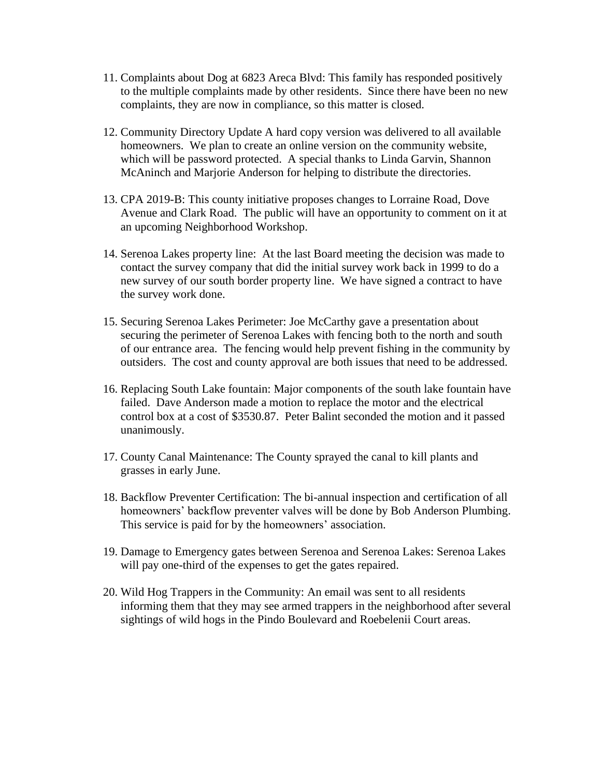- 11. Complaints about Dog at 6823 Areca Blvd: This family has responded positively to the multiple complaints made by other residents. Since there have been no new complaints, they are now in compliance, so this matter is closed.
- 12. Community Directory Update A hard copy version was delivered to all available homeowners. We plan to create an online version on the community website, which will be password protected. A special thanks to Linda Garvin, Shannon McAninch and Marjorie Anderson for helping to distribute the directories.
- 13. CPA 2019-B: This county initiative proposes changes to Lorraine Road, Dove Avenue and Clark Road. The public will have an opportunity to comment on it at an upcoming Neighborhood Workshop.
- 14. Serenoa Lakes property line: At the last Board meeting the decision was made to contact the survey company that did the initial survey work back in 1999 to do a new survey of our south border property line. We have signed a contract to have the survey work done.
- 15. Securing Serenoa Lakes Perimeter: Joe McCarthy gave a presentation about securing the perimeter of Serenoa Lakes with fencing both to the north and south of our entrance area. The fencing would help prevent fishing in the community by outsiders. The cost and county approval are both issues that need to be addressed.
- 16. Replacing South Lake fountain: Major components of the south lake fountain have failed. Dave Anderson made a motion to replace the motor and the electrical control box at a cost of \$3530.87. Peter Balint seconded the motion and it passed unanimously.
- 17. County Canal Maintenance: The County sprayed the canal to kill plants and grasses in early June.
- 18. Backflow Preventer Certification: The bi-annual inspection and certification of all homeowners' backflow preventer valves will be done by Bob Anderson Plumbing. This service is paid for by the homeowners' association.
- 19. Damage to Emergency gates between Serenoa and Serenoa Lakes: Serenoa Lakes will pay one-third of the expenses to get the gates repaired.
- 20. Wild Hog Trappers in the Community: An email was sent to all residents informing them that they may see armed trappers in the neighborhood after several sightings of wild hogs in the Pindo Boulevard and Roebelenii Court areas.